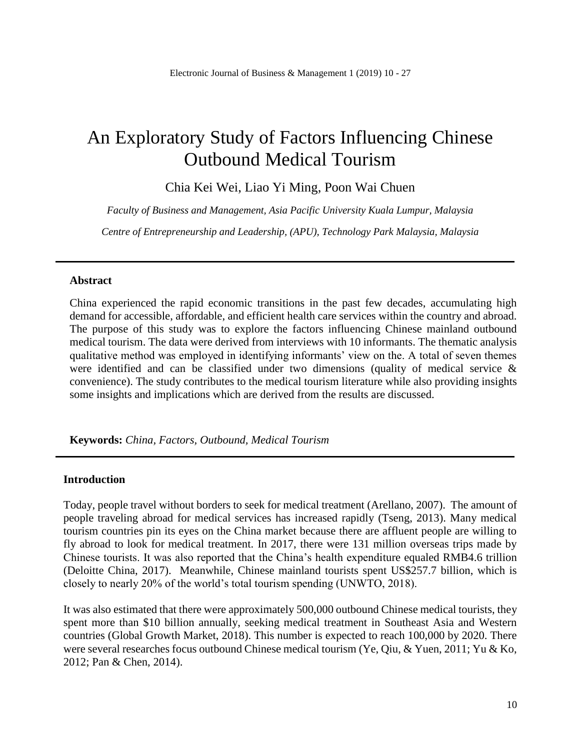# An Exploratory Study of Factors Influencing Chinese Outbound Medical Tourism

Chia Kei Wei, Liao Yi Ming, Poon Wai Chuen

*Faculty of Business and Management, Asia Pacific University Kuala Lumpur, Malaysia*

*Centre of Entrepreneurship and Leadership, (APU), Technology Park Malaysia, Malaysia*

#### **Abstract**

China experienced the rapid economic transitions in the past few decades, accumulating high demand for accessible, affordable, and efficient health care services within the country and abroad. The purpose of this study was to explore the factors influencing Chinese mainland outbound medical tourism. The data were derived from interviews with 10 informants. The thematic analysis qualitative method was employed in identifying informants' view on the. A total of seven themes were identified and can be classified under two dimensions (quality of medical service & convenience). The study contributes to the medical tourism literature while also providing insights some insights and implications which are derived from the results are discussed.

**Keywords:** *China, Factors, Outbound, Medical Tourism*

#### **Introduction**

Today, people travel without borders to seek for medical treatment (Arellano, 2007). The amount of people traveling abroad for medical services has increased rapidly (Tseng, 2013). Many medical tourism countries pin its eyes on the China market because there are affluent people are willing to fly abroad to look for medical treatment. In 2017, there were 131 million overseas trips made by Chinese tourists. It was also reported that the China's health expenditure equaled RMB4.6 trillion (Deloitte China, 2017). Meanwhile, Chinese mainland tourists spent US\$257.7 billion, which is closely to nearly 20% of the world's total tourism spending (UNWTO, 2018).

It was also estimated that there were approximately 500,000 outbound Chinese medical tourists, they spent more than \$10 billion annually, seeking medical treatment in Southeast Asia and Western countries (Global Growth Market, 2018). This number is expected to reach 100,000 by 2020. There were several researches focus outbound Chinese medical tourism (Ye, Qiu, & Yuen, 2011; Yu & Ko, 2012; Pan & Chen, 2014).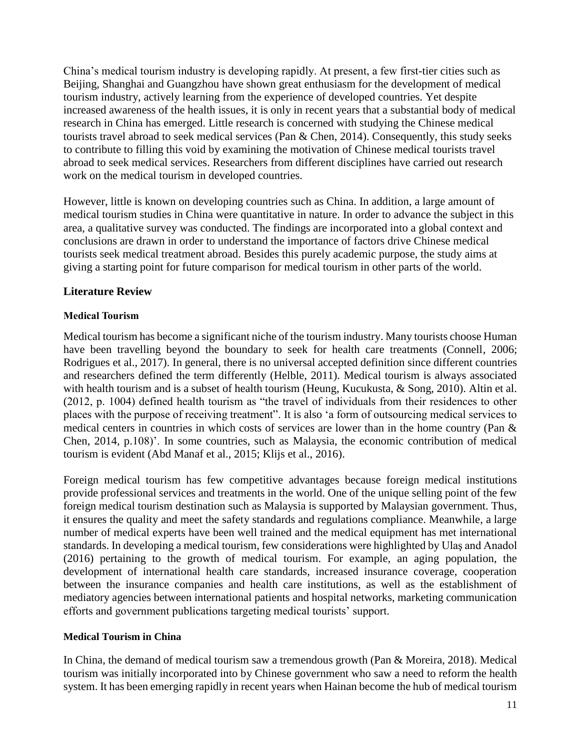China's medical tourism industry is developing rapidly. At present, a few first-tier cities such as Beijing, Shanghai and Guangzhou have shown great enthusiasm for the development of medical tourism industry, actively learning from the experience of developed countries. Yet despite increased awareness of the health issues, it is only in recent years that a substantial body of medical research in China has emerged. Little research is concerned with studying the Chinese medical tourists travel abroad to seek medical services (Pan & Chen, 2014). Consequently, this study seeks to contribute to filling this void by examining the motivation of Chinese medical tourists travel abroad to seek medical services. Researchers from different disciplines have carried out research work on the medical tourism in developed countries.

However, little is known on developing countries such as China. In addition, a large amount of medical tourism studies in China were quantitative in nature. In order to advance the subject in this area, a qualitative survey was conducted. The findings are incorporated into a global context and conclusions are drawn in order to understand the importance of factors drive Chinese medical tourists seek medical treatment abroad. Besides this purely academic purpose, the study aims at giving a starting point for future comparison for medical tourism in other parts of the world.

# **Literature Review**

# **Medical Tourism**

Medical tourism has become a significant niche of the tourism industry. Many tourists choose Human have been travelling beyond the boundary to seek for health care treatments (Connell, 2006; Rodrigues et al., 2017). In general, there is no universal accepted definition since different countries and researchers defined the term differently (Helble, 2011). Medical tourism is always associated with health tourism and is a subset of health tourism (Heung, Kucukusta, & Song, 2010). Altin et al. (2012, p. 1004) defined health tourism as "the travel of individuals from their residences to other places with the purpose of receiving treatment". It is also 'a form of outsourcing medical services to medical centers in countries in which costs of services are lower than in the home country (Pan & Chen, 2014, p.108)'. In some countries, such as Malaysia, the economic contribution of medical tourism is evident (Abd Manaf et al., 2015; Klijs et al., 2016).

Foreign medical tourism has few competitive advantages because foreign medical institutions provide professional services and treatments in the world. One of the unique selling point of the few foreign medical tourism destination such as Malaysia is supported by Malaysian government. Thus, it ensures the quality and meet the safety standards and regulations compliance. Meanwhile, a large number of medical experts have been well trained and the medical equipment has met international standards. In developing a medical tourism, few considerations were highlighted by Ulaş and Anadol (2016) pertaining to the growth of medical tourism. For example, an aging population, the development of international health care standards, increased insurance coverage, cooperation between the insurance companies and health care institutions, as well as the establishment of mediatory agencies between international patients and hospital networks, marketing communication efforts and government publications targeting medical tourists' support.

#### **Medical Tourism in China**

In China, the demand of medical tourism saw a tremendous growth (Pan & Moreira, 2018). Medical tourism was initially incorporated into by Chinese government who saw a need to reform the health system. It has been emerging rapidly in recent years when Hainan become the hub of medical tourism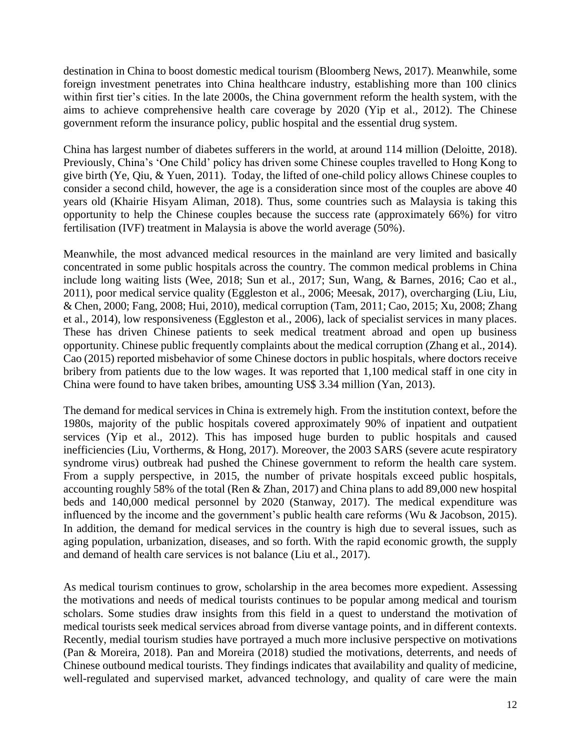destination in China to boost domestic medical tourism (Bloomberg News, 2017). Meanwhile, some foreign investment penetrates into China healthcare industry, establishing more than 100 clinics within first tier's cities. In the late 2000s, the China government reform the health system, with the aims to achieve comprehensive health care coverage by 2020 (Yip et al., 2012). The Chinese government reform the insurance policy, public hospital and the essential drug system.

China has largest number of diabetes sufferers in the world, at around 114 million (Deloitte, 2018). Previously, China's 'One Child' policy has driven some Chinese couples travelled to Hong Kong to give birth (Ye, Qiu, & Yuen, 2011). Today, the lifted of one-child policy allows Chinese couples to consider a second child, however, the age is a consideration since most of the couples are above 40 years old (Khairie Hisyam Aliman, 2018). Thus, some countries such as Malaysia is taking this opportunity to help the Chinese couples because the success rate (approximately 66%) for vitro fertilisation (IVF) treatment in Malaysia is above the world average (50%).

Meanwhile, the most advanced medical resources in the mainland are very limited and basically concentrated in some public hospitals across the country. The common medical problems in China include long waiting lists (Wee, 2018; Sun et al., 2017; Sun, Wang, & Barnes, 2016; Cao et al., 2011), poor medical service quality (Eggleston et al., 2006; Meesak, 2017), overcharging (Liu, Liu, & Chen, 2000; Fang, 2008; Hui, 2010), medical corruption (Tam, 2011; Cao, 2015; Xu, 2008; Zhang et al., 2014), low responsiveness (Eggleston et al., 2006), lack of specialist services in many places. These has driven Chinese patients to seek medical treatment abroad and open up business opportunity. Chinese public frequently complaints about the medical corruption (Zhang et al., 2014). Cao (2015) reported misbehavior of some Chinese doctors in public hospitals, where doctors receive bribery from patients due to the low wages. It was reported that 1,100 medical staff in one city in China were found to have taken bribes, amounting US\$ 3.34 million (Yan, 2013).

The demand for medical services in China is extremely high. From the institution context, before the 1980s, majority of the public hospitals covered approximately 90% of inpatient and outpatient services (Yip et al., 2012). This has imposed huge burden to public hospitals and caused inefficiencies (Liu, Vortherms, & Hong, 2017). Moreover, the 2003 SARS (severe acute respiratory syndrome virus) outbreak had pushed the Chinese government to reform the health care system. From a supply perspective, in 2015, the number of private hospitals exceed public hospitals, accounting roughly 58% of the total (Ren & Zhan, 2017) and China plans to add 89,000 new hospital beds and 140,000 medical personnel by 2020 (Stanway, 2017). The medical expenditure was influenced by the income and the government's public health care reforms (Wu & Jacobson, 2015). In addition, the demand for medical services in the country is high due to several issues, such as aging population, urbanization, diseases, and so forth. With the rapid economic growth, the supply and demand of health care services is not balance (Liu et al., 2017).

As medical tourism continues to grow, scholarship in the area becomes more expedient. Assessing the motivations and needs of medical tourists continues to be popular among medical and tourism scholars. Some studies draw insights from this field in a quest to understand the motivation of medical tourists seek medical services abroad from diverse vantage points, and in different contexts. Recently, medial tourism studies have portrayed a much more inclusive perspective on motivations (Pan & Moreira, 2018). Pan and Moreira (2018) studied the motivations, deterrents, and needs of Chinese outbound medical tourists. They findings indicates that availability and quality of medicine, well-regulated and supervised market, advanced technology, and quality of care were the main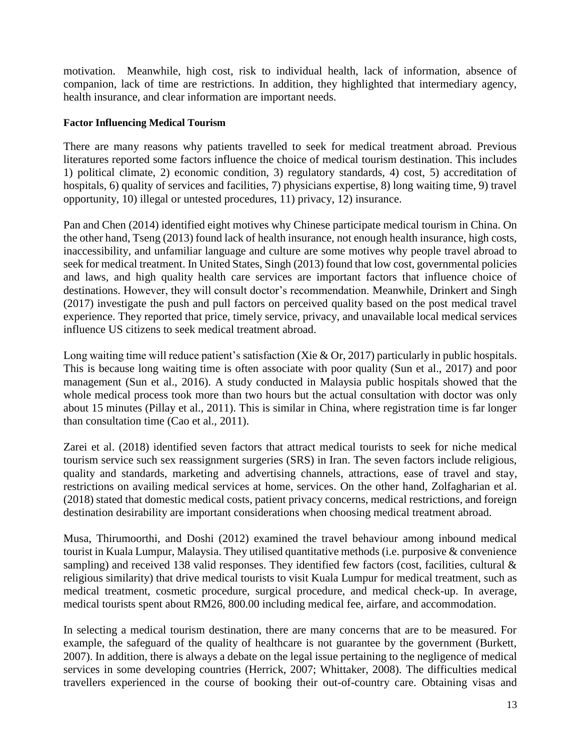motivation. Meanwhile, high cost, risk to individual health, lack of information, absence of companion, lack of time are restrictions. In addition, they highlighted that intermediary agency, health insurance, and clear information are important needs.

#### **Factor Influencing Medical Tourism**

There are many reasons why patients travelled to seek for medical treatment abroad. Previous literatures reported some factors influence the choice of medical tourism destination. This includes 1) political climate, 2) economic condition, 3) regulatory standards, 4) cost, 5) accreditation of hospitals, 6) quality of services and facilities, 7) physicians expertise, 8) long waiting time, 9) travel opportunity, 10) illegal or untested procedures, 11) privacy, 12) insurance.

Pan and Chen (2014) identified eight motives why Chinese participate medical tourism in China. On the other hand, Tseng (2013) found lack of health insurance, not enough health insurance, high costs, inaccessibility, and unfamiliar language and culture are some motives why people travel abroad to seek for medical treatment. In United States, Singh (2013) found that low cost, governmental policies and laws, and high quality health care services are important factors that influence choice of destinations. However, they will consult doctor's recommendation. Meanwhile, Drinkert and Singh (2017) investigate the push and pull factors on perceived quality based on the post medical travel experience. They reported that price, timely service, privacy, and unavailable local medical services influence US citizens to seek medical treatment abroad.

Long waiting time will reduce patient's satisfaction (Xie & Or, 2017) particularly in public hospitals. This is because long waiting time is often associate with poor quality (Sun et al., 2017) and poor management (Sun et al., 2016). A study conducted in Malaysia public hospitals showed that the whole medical process took more than two hours but the actual consultation with doctor was only about 15 minutes (Pillay et al., 2011). This is similar in China, where registration time is far longer than consultation time (Cao et al., 2011).

Zarei et al. (2018) identified seven factors that attract medical tourists to seek for niche medical tourism service such sex reassignment surgeries (SRS) in Iran. The seven factors include religious, quality and standards, marketing and advertising channels, attractions, ease of travel and stay, restrictions on availing medical services at home, services. On the other hand, Zolfagharian et al. (2018) stated that domestic medical costs, patient privacy concerns, medical restrictions, and foreign destination desirability are important considerations when choosing medical treatment abroad.

Musa, Thirumoorthi, and Doshi (2012) examined the travel behaviour among inbound medical tourist in Kuala Lumpur, Malaysia. They utilised quantitative methods (i.e. purposive & convenience sampling) and received 138 valid responses. They identified few factors (cost, facilities, cultural & religious similarity) that drive medical tourists to visit Kuala Lumpur for medical treatment, such as medical treatment, cosmetic procedure, surgical procedure, and medical check-up. In average, medical tourists spent about RM26, 800.00 including medical fee, airfare, and accommodation.

In selecting a medical tourism destination, there are many concerns that are to be measured. For example, the safeguard of the quality of healthcare is not guarantee by the government (Burkett, 2007). In addition, there is always a debate on the legal issue pertaining to the negligence of medical services in some developing countries (Herrick, 2007; Whittaker, 2008). The difficulties medical travellers experienced in the course of booking their out-of-country care. Obtaining visas and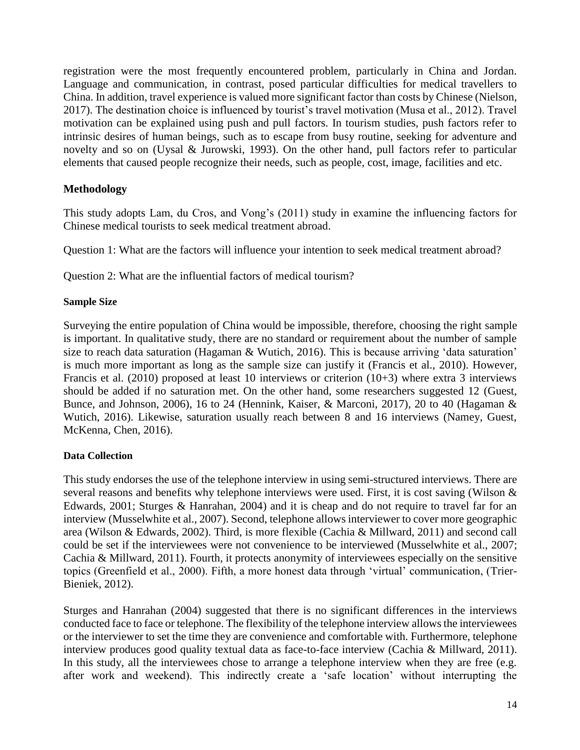registration were the most frequently encountered problem, particularly in China and Jordan. Language and communication, in contrast, posed particular difficulties for medical travellers to China. In addition, travel experience is valued more significant factor than costs by Chinese (Nielson, 2017). The destination choice is influenced by tourist's travel motivation (Musa et al., 2012). Travel motivation can be explained using push and pull factors. In tourism studies, push factors refer to intrinsic desires of human beings, such as to escape from busy routine, seeking for adventure and novelty and so on (Uysal & Jurowski, 1993). On the other hand, pull factors refer to particular elements that caused people recognize their needs, such as people, cost, image, facilities and etc.

# **Methodology**

This study adopts Lam, du Cros, and Vong's (2011) study in examine the influencing factors for Chinese medical tourists to seek medical treatment abroad.

Question 1: What are the factors will influence your intention to seek medical treatment abroad?

Question 2: What are the influential factors of medical tourism?

## **Sample Size**

Surveying the entire population of China would be impossible, therefore, choosing the right sample is important. In qualitative study, there are no standard or requirement about the number of sample size to reach data saturation (Hagaman & Wutich, 2016). This is because arriving 'data saturation' is much more important as long as the sample size can justify it (Francis et al., 2010). However, Francis et al. (2010) proposed at least 10 interviews or criterion (10+3) where extra 3 interviews should be added if no saturation met. On the other hand, some researchers suggested 12 (Guest, Bunce, and Johnson, 2006), 16 to 24 (Hennink, Kaiser, & Marconi, 2017), 20 to 40 (Hagaman & Wutich, 2016). Likewise, saturation usually reach between 8 and 16 interviews (Namey, Guest, McKenna, Chen, 2016).

# **Data Collection**

This study endorses the use of the telephone interview in using semi-structured interviews. There are several reasons and benefits why telephone interviews were used. First, it is cost saving (Wilson & Edwards, 2001; Sturges & Hanrahan, 2004) and it is cheap and do not require to travel far for an interview (Musselwhite et al., 2007). Second, telephone allows interviewer to cover more geographic area (Wilson & Edwards, 2002). Third, is more flexible (Cachia & Millward, 2011) and second call could be set if the interviewees were not convenience to be interviewed (Musselwhite et al., 2007; Cachia & Millward, 2011). Fourth, it protects anonymity of interviewees especially on the sensitive topics (Greenfield et al., 2000). Fifth, a more honest data through 'virtual' communication, (Trier-Bieniek, 2012).

Sturges and Hanrahan (2004) suggested that there is no significant differences in the interviews conducted face to face or telephone. The flexibility of the telephone interview allows the interviewees or the interviewer to set the time they are convenience and comfortable with. Furthermore, telephone interview produces good quality textual data as face-to-face interview (Cachia & Millward, 2011). In this study, all the interviewees chose to arrange a telephone interview when they are free (e.g. after work and weekend). This indirectly create a 'safe location' without interrupting the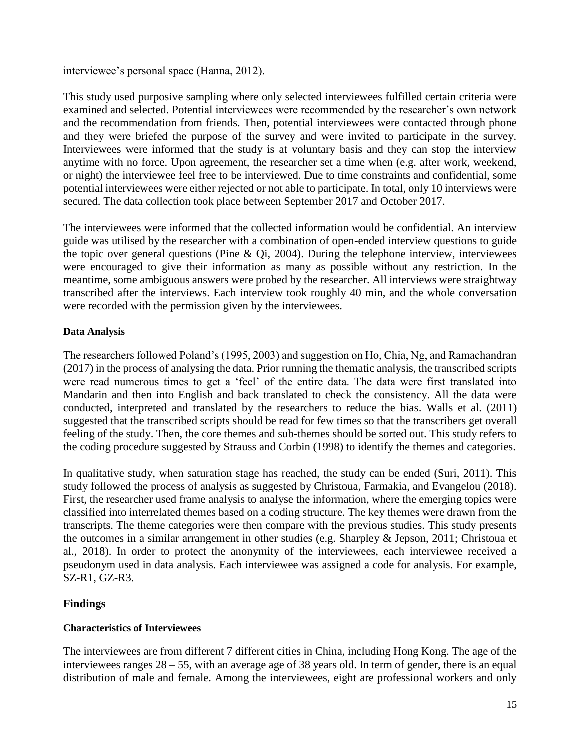interviewee's personal space (Hanna, 2012).

This study used purposive sampling where only selected interviewees fulfilled certain criteria were examined and selected. Potential interviewees were recommended by the researcher's own network and the recommendation from friends. Then, potential interviewees were contacted through phone and they were briefed the purpose of the survey and were invited to participate in the survey. Interviewees were informed that the study is at voluntary basis and they can stop the interview anytime with no force. Upon agreement, the researcher set a time when (e.g. after work, weekend, or night) the interviewee feel free to be interviewed. Due to time constraints and confidential, some potential interviewees were either rejected or not able to participate. In total, only 10 interviews were secured. The data collection took place between September 2017 and October 2017.

The interviewees were informed that the collected information would be confidential. An interview guide was utilised by the researcher with a combination of open-ended interview questions to guide the topic over general questions (Pine  $\&$  Qi, 2004). During the telephone interview, interviewees were encouraged to give their information as many as possible without any restriction. In the meantime, some ambiguous answers were probed by the researcher. All interviews were straightway transcribed after the interviews. Each interview took roughly 40 min, and the whole conversation were recorded with the permission given by the interviewees.

## **Data Analysis**

The researchers followed Poland's (1995, 2003) and suggestion on Ho, Chia, Ng, and Ramachandran (2017) in the process of analysing the data. Prior running the thematic analysis, the transcribed scripts were read numerous times to get a 'feel' of the entire data. The data were first translated into Mandarin and then into English and back translated to check the consistency. All the data were conducted, interpreted and translated by the researchers to reduce the bias. Walls et al. (2011) suggested that the transcribed scripts should be read for few times so that the transcribers get overall feeling of the study. Then, the core themes and sub-themes should be sorted out. This study refers to the coding procedure suggested by Strauss and Corbin (1998) to identify the themes and categories.

In qualitative study, when saturation stage has reached, the study can be ended (Suri, 2011). This study followed the process of analysis as suggested by Christoua, Farmakia, and Evangelou (2018). First, the researcher used frame analysis to analyse the information, where the emerging topics were classified into interrelated themes based on a coding structure. The key themes were drawn from the transcripts. The theme categories were then compare with the previous studies. This study presents the outcomes in a similar arrangement in other studies (e.g. Sharpley & Jepson, 2011; Christoua et al., 2018). In order to protect the anonymity of the interviewees, each interviewee received a pseudonym used in data analysis. Each interviewee was assigned a code for analysis. For example, SZ-R1, GZ-R3.

# **Findings**

# **Characteristics of Interviewees**

The interviewees are from different 7 different cities in China, including Hong Kong. The age of the interviewees ranges 28 – 55, with an average age of 38 years old. In term of gender, there is an equal distribution of male and female. Among the interviewees, eight are professional workers and only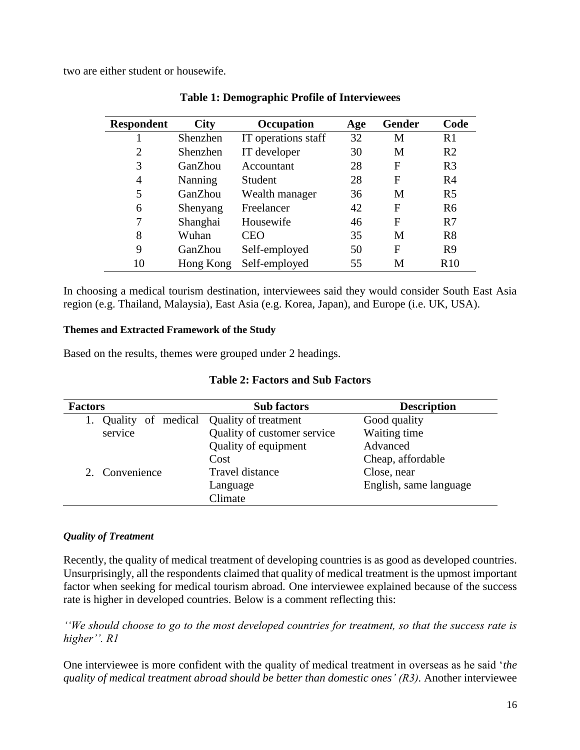two are either student or housewife.

| <b>Respondent</b> | <b>City</b>    | Occupation          | Age | <b>Gender</b> | Code           |
|-------------------|----------------|---------------------|-----|---------------|----------------|
|                   | Shenzhen       | IT operations staff | 32  | М             | R <sub>1</sub> |
| 2                 | Shenzhen       | IT developer        | 30  | M             | R <sub>2</sub> |
| 3                 | GanZhou        | Accountant          | 28  | F             | R <sub>3</sub> |
| 4                 | <b>Nanning</b> | Student             | 28  | F             | R <sub>4</sub> |
| 5                 | GanZhou        | Wealth manager      | 36  | M             | R <sub>5</sub> |
| 6                 | Shenyang       | Freelancer          | 42  | F             | R <sub>6</sub> |
| 7                 | Shanghai       | Housewife           | 46  | F             | R7             |
| 8                 | Wuhan          | <b>CEO</b>          | 35  | M             | R8             |
| 9                 | GanZhou        | Self-employed       | 50  | F             | R <sub>9</sub> |
| 10                | Hong Kong      | Self-employed       | 55  | М             | R10            |

In choosing a medical tourism destination, interviewees said they would consider South East Asia region (e.g. Thailand, Malaysia), East Asia (e.g. Korea, Japan), and Europe (i.e. UK, USA).

#### **Themes and Extracted Framework of the Study**

Based on the results, themes were grouped under 2 headings.

|  |  | <b>Table 2: Factors and Sub Factors</b> |  |
|--|--|-----------------------------------------|--|
|--|--|-----------------------------------------|--|

| <b>Factors</b>                          | <b>Sub factors</b>          | <b>Description</b>     |  |
|-----------------------------------------|-----------------------------|------------------------|--|
| Quality of medical Quality of treatment |                             | Good quality           |  |
| service                                 | Quality of customer service | Waiting time           |  |
|                                         | Quality of equipment        | Advanced               |  |
|                                         | Cost                        | Cheap, affordable      |  |
| 2. Convenience                          | Travel distance             | Close, near            |  |
|                                         | Language                    | English, same language |  |
|                                         | Climate                     |                        |  |

#### *Quality of Treatment*

Recently, the quality of medical treatment of developing countries is as good as developed countries. Unsurprisingly, all the respondents claimed that quality of medical treatment is the upmost important factor when seeking for medical tourism abroad. One interviewee explained because of the success rate is higher in developed countries. Below is a comment reflecting this:

*''We should choose to go to the most developed countries for treatment, so that the success rate is higher''. R1*

One interviewee is more confident with the quality of medical treatment in overseas as he said '*the quality of medical treatment abroad should be better than domestic ones' (R3).* Another interviewee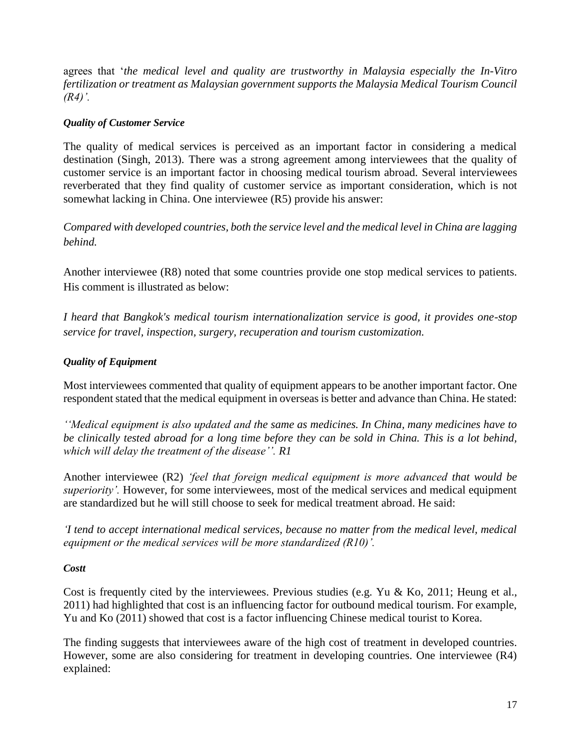agrees that '*the medical level and quality are trustworthy in Malaysia especially the In-Vitro fertilization or treatment as Malaysian government supports the Malaysia Medical Tourism Council (R4)'.*

## *Quality of Customer Service*

The quality of medical services is perceived as an important factor in considering a medical destination (Singh, 2013). There was a strong agreement among interviewees that the quality of customer service is an important factor in choosing medical tourism abroad. Several interviewees reverberated that they find quality of customer service as important consideration, which is not somewhat lacking in China. One interviewee (R5) provide his answer:

*Compared with developed countries, both the service level and the medical level in China are lagging behind.* 

Another interviewee (R8) noted that some countries provide one stop medical services to patients. His comment is illustrated as below:

*I heard that Bangkok's medical tourism internationalization service is good, it provides one-stop service for travel, inspection, surgery, recuperation and tourism customization.* 

# *Quality of Equipment*

Most interviewees commented that quality of equipment appears to be another important factor. One respondent stated that the medical equipment in overseas is better and advance than China. He stated:

*''Medical equipment is also updated and the same as medicines. In China, many medicines have to be clinically tested abroad for a long time before they can be sold in China. This is a lot behind, which will delay the treatment of the disease''. R1*

Another interviewee (R2) *'feel that foreign medical equipment is more advanced that would be superiority'.* However, for some interviewees, most of the medical services and medical equipment are standardized but he will still choose to seek for medical treatment abroad. He said:

*'I tend to accept international medical services, because no matter from the medical level, medical equipment or the medical services will be more standardized (R10)'.*

#### *Costt*

Cost is frequently cited by the interviewees. Previous studies (e.g. Yu & Ko, 2011; Heung et al., 2011) had highlighted that cost is an influencing factor for outbound medical tourism. For example, Yu and Ko (2011) showed that cost is a factor influencing Chinese medical tourist to Korea.

The finding suggests that interviewees aware of the high cost of treatment in developed countries. However, some are also considering for treatment in developing countries. One interviewee (R4) explained: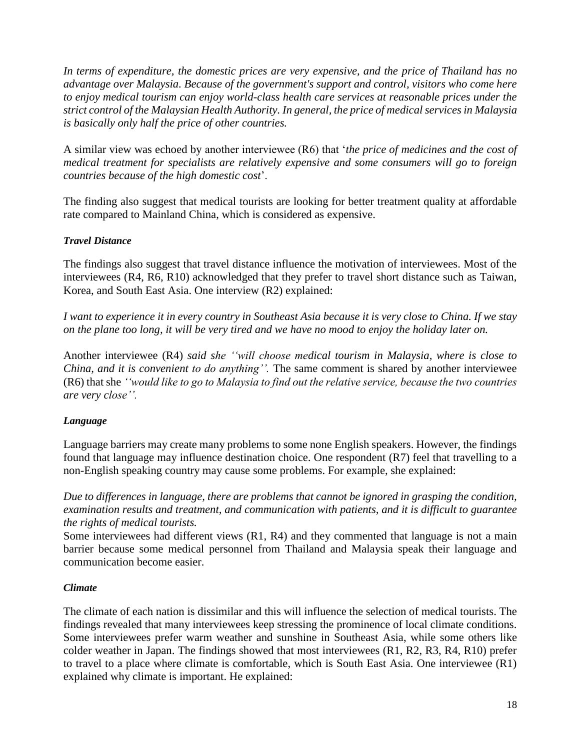*In terms of expenditure, the domestic prices are very expensive, and the price of Thailand has no advantage over Malaysia. Because of the government's support and control, visitors who come here to enjoy medical tourism can enjoy world-class health care services at reasonable prices under the strict control of the Malaysian Health Authority. In general, the price of medical services in Malaysia is basically only half the price of other countries.*

A similar view was echoed by another interviewee (R6) that '*the price of medicines and the cost of medical treatment for specialists are relatively expensive and some consumers will go to foreign countries because of the high domestic cost*'.

The finding also suggest that medical tourists are looking for better treatment quality at affordable rate compared to Mainland China, which is considered as expensive.

## *Travel Distance*

The findings also suggest that travel distance influence the motivation of interviewees. Most of the interviewees (R4, R6, R10) acknowledged that they prefer to travel short distance such as Taiwan, Korea, and South East Asia. One interview (R2) explained:

*I want to experience it in every country in Southeast Asia because it is very close to China. If we stay on the plane too long, it will be very tired and we have no mood to enjoy the holiday later on.* 

Another interviewee (R4) *said she ''will choose medical tourism in Malaysia, where is close to China, and it is convenient to do anything''.* The same comment is shared by another interviewee (R6) that she *''would like to go to Malaysia to find out the relative service, because the two countries are very close''.*

# *Language*

Language barriers may create many problems to some none English speakers. However, the findings found that language may influence destination choice. One respondent (R7) feel that travelling to a non-English speaking country may cause some problems. For example, she explained:

*Due to differences in language, there are problems that cannot be ignored in grasping the condition, examination results and treatment, and communication with patients, and it is difficult to guarantee the rights of medical tourists.*

Some interviewees had different views (R1, R4) and they commented that language is not a main barrier because some medical personnel from Thailand and Malaysia speak their language and communication become easier.

# *Climate*

The climate of each nation is dissimilar and this will influence the selection of medical tourists. The findings revealed that many interviewees keep stressing the prominence of local climate conditions. Some interviewees prefer warm weather and sunshine in Southeast Asia, while some others like colder weather in Japan. The findings showed that most interviewees (R1, R2, R3, R4, R10) prefer to travel to a place where climate is comfortable, which is South East Asia. One interviewee (R1) explained why climate is important. He explained: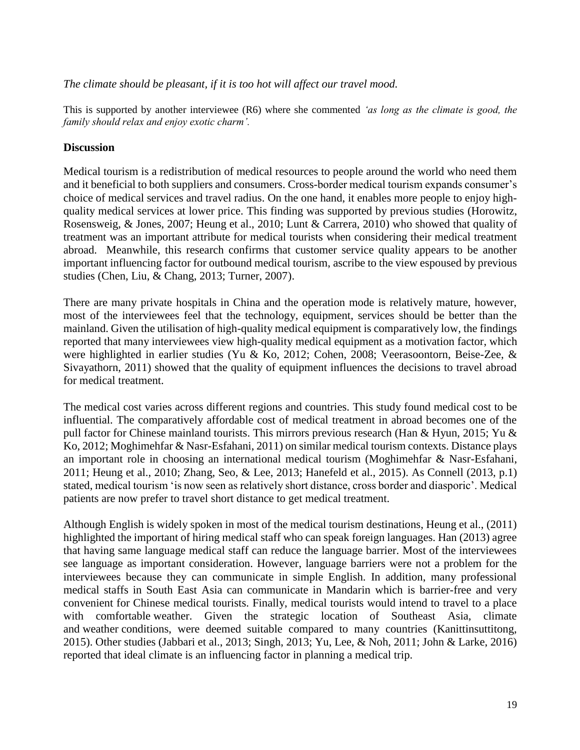#### *The climate should be pleasant, if it is too hot will affect our travel mood.*

This is supported by another interviewee (R6) where she commented *'as long as the climate is good, the family should relax and enjoy exotic charm'.*

## **Discussion**

Medical tourism is a redistribution of medical resources to people around the world who need them and it beneficial to both suppliers and consumers. Cross-border medical tourism expands consumer's choice of medical services and travel radius. On the one hand, it enables more people to enjoy highquality medical services at lower price. This finding was supported by previous studies (Horowitz, Rosensweig, & Jones, 2007; Heung et al., 2010; Lunt & Carrera, 2010) who showed that quality of treatment was an important attribute for medical tourists when considering their medical treatment abroad. Meanwhile, this research confirms that customer service quality appears to be another important influencing factor for outbound medical tourism, ascribe to the view espoused by previous studies (Chen, Liu, & Chang, 2013; Turner, 2007).

There are many private hospitals in China and the operation mode is relatively mature, however, most of the interviewees feel that the technology, equipment, services should be better than the mainland. Given the utilisation of high-quality medical equipment is comparatively low, the findings reported that many interviewees view high-quality medical equipment as a motivation factor, which were highlighted in earlier studies (Yu & Ko, 2012; Cohen, 2008; Veerasoontorn, Beise-Zee, & Sivayathorn, 2011) showed that the quality of equipment influences the decisions to travel abroad for medical treatment.

The medical cost varies across different regions and countries. This study found medical cost to be influential. The comparatively affordable cost of medical treatment in abroad becomes one of the pull factor for Chinese mainland tourists. This mirrors previous research (Han & Hyun, 2015; Yu & Ko, 2012; Moghimehfar & Nasr-Esfahani, 2011) on similar medical tourism contexts. Distance plays an important role in choosing an international medical tourism (Moghimehfar & Nasr-Esfahani, 2011; Heung et al., 2010; Zhang, Seo, & Lee, 2013; Hanefeld et al., 2015). As Connell (2013, p.1) stated, medical tourism 'is now seen as relatively short distance, cross border and diasporic'. Medical patients are now prefer to travel short distance to get medical treatment.

Although English is widely spoken in most of the medical tourism destinations, Heung et al., (2011) highlighted the important of hiring medical staff who can speak foreign languages. Han (2013) agree that having same language medical staff can reduce the language barrier. Most of the interviewees see language as important consideration. However, language barriers were not a problem for the interviewees because they can communicate in simple English. In addition, many professional medical staffs in South East Asia can communicate in Mandarin which is barrier-free and very convenient for Chinese medical tourists. Finally, medical tourists would intend to travel to a place with comfortable weather. Given the strategic location of Southeast Asia, climate and weather conditions, were deemed suitable compared to many countries (Kanittinsuttitong, 2015). Other studies (Jabbari et al., 2013; Singh, 2013; Yu, Lee, & Noh, 2011; John & Larke, 2016) reported that ideal climate is an influencing factor in planning a medical trip.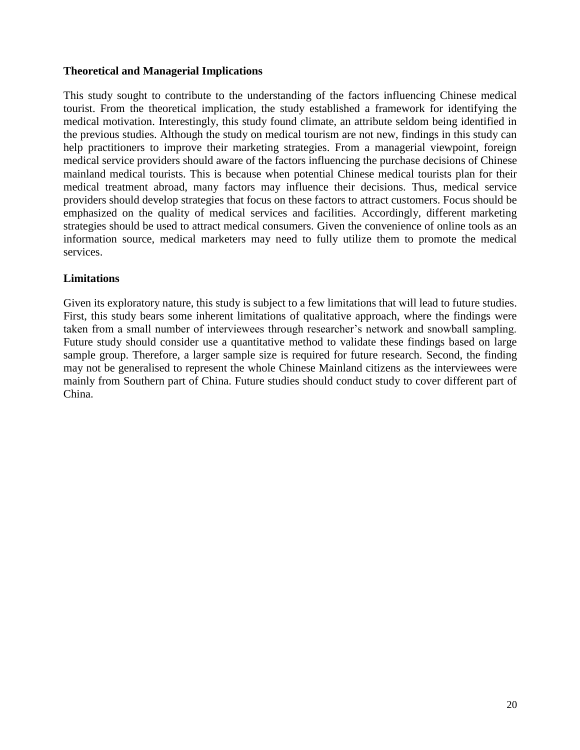## **Theoretical and Managerial Implications**

This study sought to contribute to the understanding of the factors influencing Chinese medical tourist. From the theoretical implication, the study established a framework for identifying the medical motivation. Interestingly, this study found climate, an attribute seldom being identified in the previous studies. Although the study on medical tourism are not new, findings in this study can help practitioners to improve their marketing strategies. From a managerial viewpoint, foreign medical service providers should aware of the factors influencing the purchase decisions of Chinese mainland medical tourists. This is because when potential Chinese medical tourists plan for their medical treatment abroad, many factors may influence their decisions. Thus, medical service providers should develop strategies that focus on these factors to attract customers. Focus should be emphasized on the quality of medical services and facilities. Accordingly, different marketing strategies should be used to attract medical consumers. Given the convenience of online tools as an information source, medical marketers may need to fully utilize them to promote the medical services.

## **Limitations**

Given its exploratory nature, this study is subject to a few limitations that will lead to future studies. First, this study bears some inherent limitations of qualitative approach, where the findings were taken from a small number of interviewees through researcher's network and snowball sampling. Future study should consider use a quantitative method to validate these findings based on large sample group. Therefore, a larger sample size is required for future research. Second, the finding may not be generalised to represent the whole Chinese Mainland citizens as the interviewees were mainly from Southern part of China. Future studies should conduct study to cover different part of China.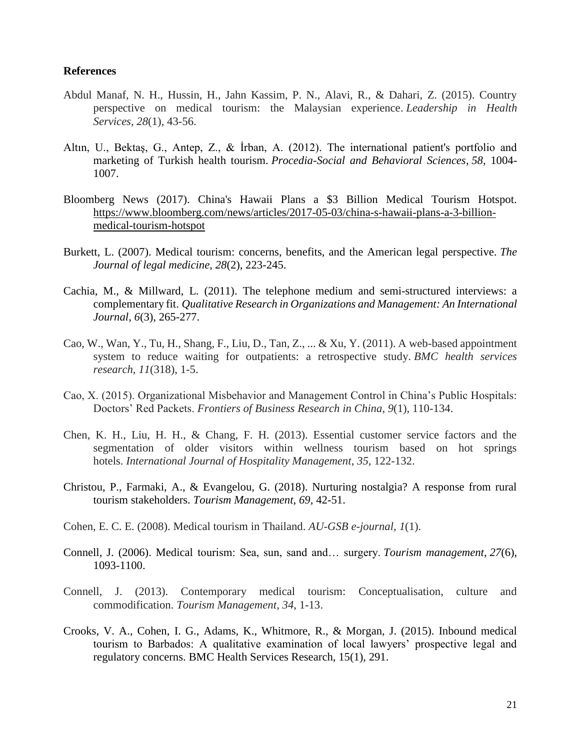#### **References**

- Abdul Manaf, N. H., Hussin, H., Jahn Kassim, P. N., Alavi, R., & Dahari, Z. (2015). Country perspective on medical tourism: the Malaysian experience. *Leadership in Health Services*, *28*(1), 43-56.
- Altın, U., Bektaş, G., Antep, Z., & İrban, A. (2012). The international patient's portfolio and marketing of Turkish health tourism. *Procedia-Social and Behavioral Sciences*, *58*, 1004- 1007.
- Bloomberg News (2017). China's Hawaii Plans a \$3 Billion Medical Tourism Hotspot. [https://www.bloomberg.com/news/articles/2017-05-03/china-s-hawaii-plans-a-3-billion](https://www.bloomberg.com/news/articles/2017-05-03/china-s-hawaii-plans-a-3-billion-medical-tourism-hotspot)[medical-tourism-hotspot](https://www.bloomberg.com/news/articles/2017-05-03/china-s-hawaii-plans-a-3-billion-medical-tourism-hotspot)
- Burkett, L. (2007). Medical tourism: concerns, benefits, and the American legal perspective. *The Journal of legal medicine*, *28*(2), 223-245.
- Cachia, M., & Millward, L. (2011). The telephone medium and semi-structured interviews: a complementary fit. *Qualitative Research in Organizations and Management: An International Journal*, *6*(3), 265-277.
- Cao, W., Wan, Y., Tu, H., Shang, F., Liu, D., Tan, Z., ... & Xu, Y. (2011). A web-based appointment system to reduce waiting for outpatients: a retrospective study. *BMC health services research*, *11*(318), 1-5.
- Cao, X. (2015). Organizational Misbehavior and Management Control in China's Public Hospitals: Doctors' Red Packets. *Frontiers of Business Research in China*, *9*(1), 110-134.
- Chen, K. H., Liu, H. H., & Chang, F. H. (2013). Essential customer service factors and the segmentation of older visitors within wellness tourism based on hot springs hotels. *International Journal of Hospitality Management*, *35*, 122-132.
- Christou, P., Farmaki, A., & Evangelou, G. (2018). Nurturing nostalgia? A response from rural tourism stakeholders. *Tourism Management*, *69*, 42-51.
- Cohen, E. C. E. (2008). Medical tourism in Thailand. *AU-GSB e-journal*, *1*(1).
- Connell, J. (2006). Medical tourism: Sea, sun, sand and… surgery. *Tourism management*, *27*(6), 1093-1100.
- Connell, J. (2013). Contemporary medical tourism: Conceptualisation, culture and commodification. *Tourism Management*, *34*, 1-13.
- Crooks, V. A., Cohen, I. G., Adams, K., Whitmore, R., & Morgan, J. (2015). Inbound medical tourism to Barbados: A qualitative examination of local lawyers' prospective legal and regulatory concerns. BMC Health Services Research, 15(1), 291.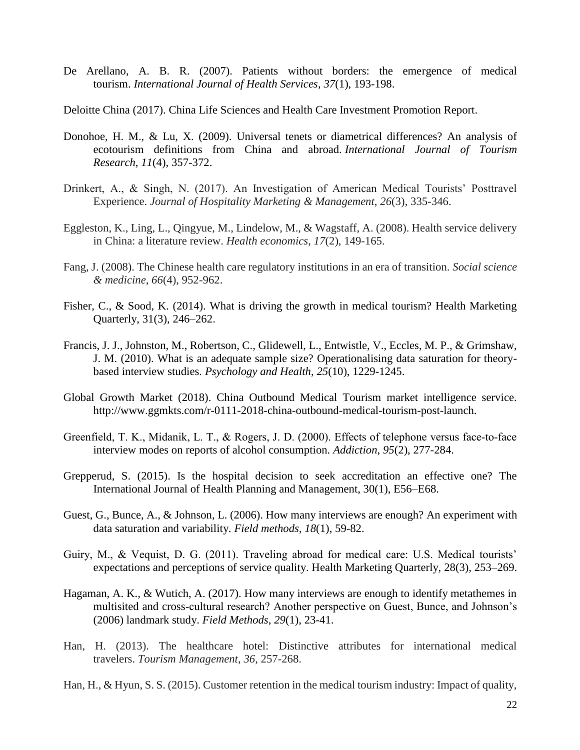- De Arellano, A. B. R. (2007). Patients without borders: the emergence of medical tourism. *International Journal of Health Services*, *37*(1), 193-198.
- Deloitte China (2017). China Life Sciences and Health Care Investment Promotion Report.
- Donohoe, H. M., & Lu, X. (2009). Universal tenets or diametrical differences? An analysis of ecotourism definitions from China and abroad. *International Journal of Tourism Research*, *11*(4), 357-372.
- Drinkert, A., & Singh, N. (2017). An Investigation of American Medical Tourists' Posttravel Experience. *Journal of Hospitality Marketing & Management*, *26*(3), 335-346.
- Eggleston, K., Ling, L., Qingyue, M., Lindelow, M., & Wagstaff, A. (2008). Health service delivery in China: a literature review. *Health economics*, *17*(2), 149-165.
- Fang, J. (2008). The Chinese health care regulatory institutions in an era of transition. *Social science & medicine*, *66*(4), 952-962.
- Fisher, C., & Sood, K. (2014). What is driving the growth in medical tourism? Health Marketing Quarterly, 31(3), 246–262.
- Francis, J. J., Johnston, M., Robertson, C., Glidewell, L., Entwistle, V., Eccles, M. P., & Grimshaw, J. M. (2010). What is an adequate sample size? Operationalising data saturation for theorybased interview studies. *Psychology and Health*, *25*(10), 1229-1245.
- Global Growth Market (2018). China Outbound Medical Tourism market intelligence service. http://www.ggmkts.com/r-0111-2018-china-outbound-medical-tourism-post-launch.
- Greenfield, T. K., Midanik, L. T., & Rogers, J. D. (2000). Effects of telephone versus face-to-face interview modes on reports of alcohol consumption. *Addiction*, *95*(2), 277-284.
- Grepperud, S. (2015). Is the hospital decision to seek accreditation an effective one? The International Journal of Health Planning and Management, 30(1), E56–E68.
- Guest, G., Bunce, A., & Johnson, L. (2006). How many interviews are enough? An experiment with data saturation and variability. *Field methods*, *18*(1), 59-82.
- Guiry, M., & Vequist, D. G. (2011). Traveling abroad for medical care: U.S. Medical tourists' expectations and perceptions of service quality. Health Marketing Quarterly, 28(3), 253–269.
- Hagaman, A. K., & Wutich, A. (2017). How many interviews are enough to identify metathemes in multisited and cross-cultural research? Another perspective on Guest, Bunce, and Johnson's (2006) landmark study. *Field Methods*, *29*(1), 23-41.
- Han, H. (2013). The healthcare hotel: Distinctive attributes for international medical travelers. *Tourism Management*, *36*, 257-268.
- Han, H., & Hyun, S. S. (2015). Customer retention in the medical tourism industry: Impact of quality,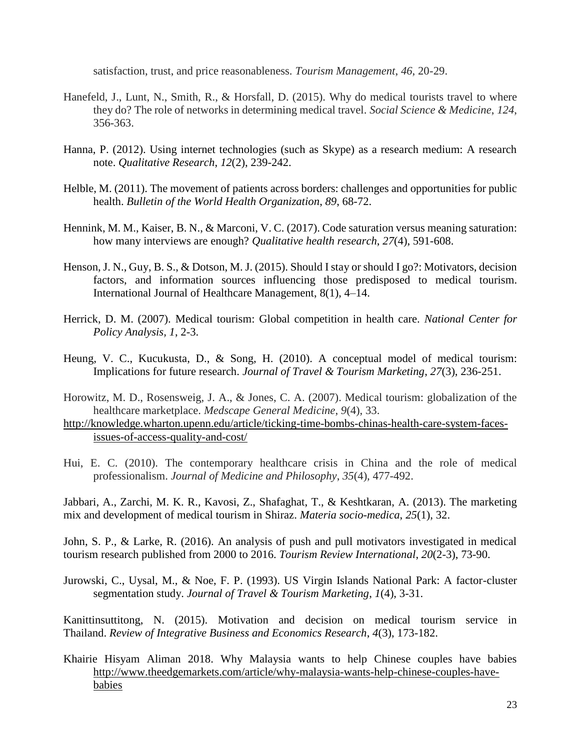satisfaction, trust, and price reasonableness. *Tourism Management*, *46*, 20-29.

- Hanefeld, J., Lunt, N., Smith, R., & Horsfall, D. (2015). Why do medical tourists travel to where they do? The role of networks in determining medical travel. *Social Science & Medicine*, *124*, 356-363.
- Hanna, P. (2012). Using internet technologies (such as Skype) as a research medium: A research note. *Qualitative Research*, *12*(2), 239-242.
- Helble, M. (2011). The movement of patients across borders: challenges and opportunities for public health. *Bulletin of the World Health Organization*, *89*, 68-72.
- Hennink, M. M., Kaiser, B. N., & Marconi, V. C. (2017). Code saturation versus meaning saturation: how many interviews are enough? *Qualitative health research*, *27*(4), 591-608.
- Henson, J. N., Guy, B. S., & Dotson, M. J. (2015). Should I stay or should I go?: Motivators, decision factors, and information sources influencing those predisposed to medical tourism. International Journal of Healthcare Management, 8(1), 4–14.
- Herrick, D. M. (2007). Medical tourism: Global competition in health care. *National Center for Policy Analysis, 1*, 2-3.
- Heung, V. C., Kucukusta, D., & Song, H. (2010). A conceptual model of medical tourism: Implications for future research. *Journal of Travel & Tourism Marketing*, *27*(3), 236-251.
- Horowitz, M. D., Rosensweig, J. A., & Jones, C. A. (2007). Medical tourism: globalization of the healthcare marketplace. *Medscape General Medicine*, *9*(4), 33.
- [http://knowledge.wharton.upenn.edu/article/ticking-time-bombs-chinas-health-care-system-faces](http://knowledge.wharton.upenn.edu/article/ticking-time-bombs-chinas-health-care-system-faces-issues-of-access-quality-and-cost/)[issues-of-access-quality-and-cost/](http://knowledge.wharton.upenn.edu/article/ticking-time-bombs-chinas-health-care-system-faces-issues-of-access-quality-and-cost/)
- Hui, E. C. (2010). The contemporary healthcare crisis in China and the role of medical professionalism. *Journal of Medicine and Philosophy*, *35*(4), 477-492.

Jabbari, A., Zarchi, M. K. R., Kavosi, Z., Shafaghat, T., & Keshtkaran, A. (2013). The marketing mix and development of medical tourism in Shiraz. *Materia socio-medica*, *25*(1), 32.

John, S. P., & Larke, R. (2016). An analysis of push and pull motivators investigated in medical tourism research published from 2000 to 2016. *Tourism Review International*, *20*(2-3), 73-90.

Jurowski, C., Uysal, M., & Noe, F. P. (1993). US Virgin Islands National Park: A factor-cluster segmentation study. *Journal of Travel & Tourism Marketing*, *1*(4), 3-31.

Kanittinsuttitong, N. (2015). Motivation and decision on medical tourism service in Thailand. *Review of Integrative Business and Economics Research*, *4*(3), 173-182.

Khairie Hisyam Aliman 2018. Why Malaysia wants to help Chinese couples have babies [http://www.theedgemarkets.com/article/why-malaysia-wants-help-chinese-couples-have](http://www.theedgemarkets.com/article/why-malaysia-wants-help-chinese-couples-have-babies)[babies](http://www.theedgemarkets.com/article/why-malaysia-wants-help-chinese-couples-have-babies)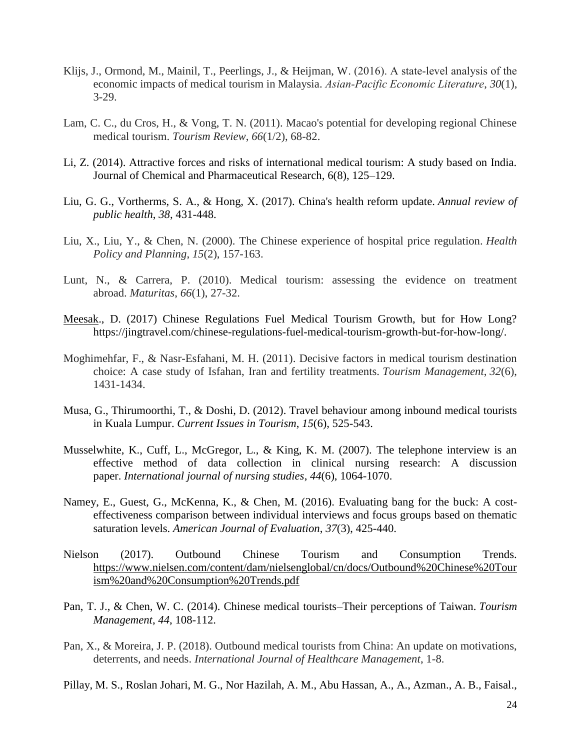- Klijs, J., Ormond, M., Mainil, T., Peerlings, J., & Heijman, W. (2016). A state‐level analysis of the economic impacts of medical tourism in Malaysia. *Asian‐Pacific Economic Literature*, *30*(1), 3-29.
- Lam, C. C., du Cros, H., & Vong, T. N. (2011). Macao's potential for developing regional Chinese medical tourism. *Tourism Review*, *66*(1/2), 68-82.
- Li, Z. (2014). Attractive forces and risks of international medical tourism: A study based on India. Journal of Chemical and Pharmaceutical Research, 6(8), 125–129.
- Liu, G. G., Vortherms, S. A., & Hong, X. (2017). China's health reform update. *Annual review of public health*, *38*, 431-448.
- Liu, X., Liu, Y., & Chen, N. (2000). The Chinese experience of hospital price regulation. *Health Policy and Planning*, *15*(2), 157-163.
- Lunt, N., & Carrera, P. (2010). Medical tourism: assessing the evidence on treatment abroad. *Maturitas*, *66*(1), 27-32.
- [Meesak.](https://jingtravel.com/author/1235/), D. (2017) Chinese Regulations Fuel Medical Tourism Growth, but for How Long? https://jingtravel.com/chinese-regulations-fuel-medical-tourism-growth-but-for-how-long/.
- Moghimehfar, F., & Nasr-Esfahani, M. H. (2011). Decisive factors in medical tourism destination choice: A case study of Isfahan, Iran and fertility treatments. *Tourism Management*, *32*(6), 1431-1434.
- Musa, G., Thirumoorthi, T., & Doshi, D. (2012). Travel behaviour among inbound medical tourists in Kuala Lumpur. *Current Issues in Tourism*, *15*(6), 525-543.
- Musselwhite, K., Cuff, L., McGregor, L., & King, K. M. (2007). The telephone interview is an effective method of data collection in clinical nursing research: A discussion paper. *International journal of nursing studies*, *44*(6), 1064-1070.
- Namey, E., Guest, G., McKenna, K., & Chen, M. (2016). Evaluating bang for the buck: A costeffectiveness comparison between individual interviews and focus groups based on thematic saturation levels. *American Journal of Evaluation*, *37*(3), 425-440.
- Nielson (2017). Outbound Chinese Tourism and Consumption Trends. [https://www.nielsen.com/content/dam/nielsenglobal/cn/docs/Outbound%20Chinese%20Tour](https://www.nielsen.com/content/dam/nielsenglobal/cn/docs/Outbound%20Chinese%20Tourism%20and%20Consumption%20Trends.pdf) [ism%20and%20Consumption%20Trends.pdf](https://www.nielsen.com/content/dam/nielsenglobal/cn/docs/Outbound%20Chinese%20Tourism%20and%20Consumption%20Trends.pdf)
- Pan, T. J., & Chen, W. C. (2014). Chinese medical tourists–Their perceptions of Taiwan. *Tourism Management*, *44*, 108-112.
- Pan, X., & Moreira, J. P. (2018). Outbound medical tourists from China: An update on motivations, deterrents, and needs. *International Journal of Healthcare Management*, 1-8.
- Pillay, M. S., Roslan Johari, M. G., Nor Hazilah, A. M., Abu Hassan, A., A., Azman., A. B., Faisal.,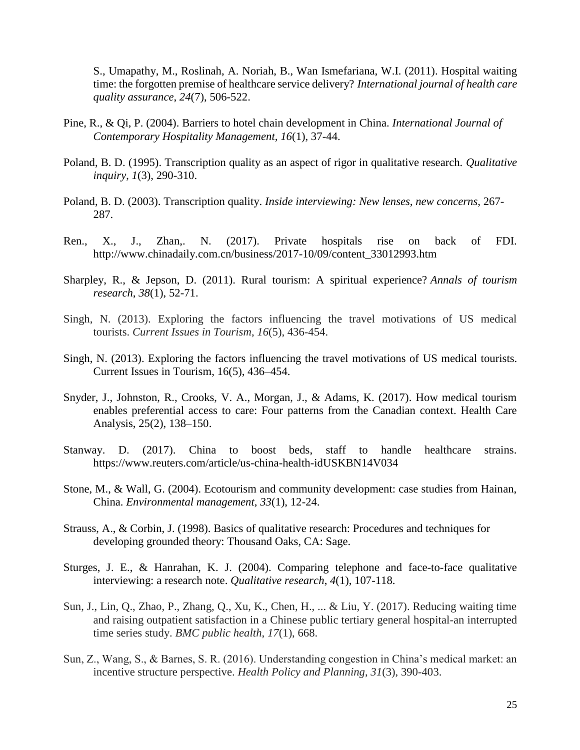S., Umapathy, M., Roslinah, A. Noriah, B., Wan Ismefariana, W.I. (2011). Hospital waiting time: the forgotten premise of healthcare service delivery? *International journal of health care quality assurance*, *24*(7), 506-522.

- Pine, R., & Qi, P. (2004). Barriers to hotel chain development in China. *International Journal of Contemporary Hospitality Management, 16*(1), 37-44.
- Poland, B. D. (1995). Transcription quality as an aspect of rigor in qualitative research. *Qualitative inquiry*, *1*(3), 290-310.
- Poland, B. D. (2003). Transcription quality. *Inside interviewing: New lenses, new concerns*, 267- 287.
- Ren., X., J., Zhan,. N. (2017). Private hospitals rise on back of FDI. http://www.chinadaily.com.cn/business/2017-10/09/content\_33012993.htm
- Sharpley, R., & Jepson, D. (2011). Rural tourism: A spiritual experience? *Annals of tourism research*, *38*(1), 52-71.
- Singh, N. (2013). Exploring the factors influencing the travel motivations of US medical tourists. *Current Issues in Tourism*, *16*(5), 436-454.
- Singh, N. (2013). Exploring the factors influencing the travel motivations of US medical tourists. Current Issues in Tourism, 16(5), 436–454.
- Snyder, J., Johnston, R., Crooks, V. A., Morgan, J., & Adams, K. (2017). How medical tourism enables preferential access to care: Four patterns from the Canadian context. Health Care Analysis, 25(2), 138–150.
- Stanway. D. (2017). China to boost beds, staff to handle healthcare strains. https://www.reuters.com/article/us-china-health-idUSKBN14V034
- Stone, M., & Wall, G. (2004). Ecotourism and community development: case studies from Hainan, China. *Environmental management*, *33*(1), 12-24.
- Strauss, A., & Corbin, J. (1998). Basics of qualitative research: Procedures and techniques for developing grounded theory: Thousand Oaks, CA: Sage.
- Sturges, J. E., & Hanrahan, K. J. (2004). Comparing telephone and face-to-face qualitative interviewing: a research note. *Qualitative research*, *4*(1), 107-118.
- Sun, J., Lin, Q., Zhao, P., Zhang, Q., Xu, K., Chen, H., ... & Liu, Y. (2017). Reducing waiting time and raising outpatient satisfaction in a Chinese public tertiary general hospital-an interrupted time series study. *BMC public health*, *17*(1), 668.
- Sun, Z., Wang, S., & Barnes, S. R. (2016). Understanding congestion in China's medical market: an incentive structure perspective. *Health Policy and Planning*, *31*(3), 390-403.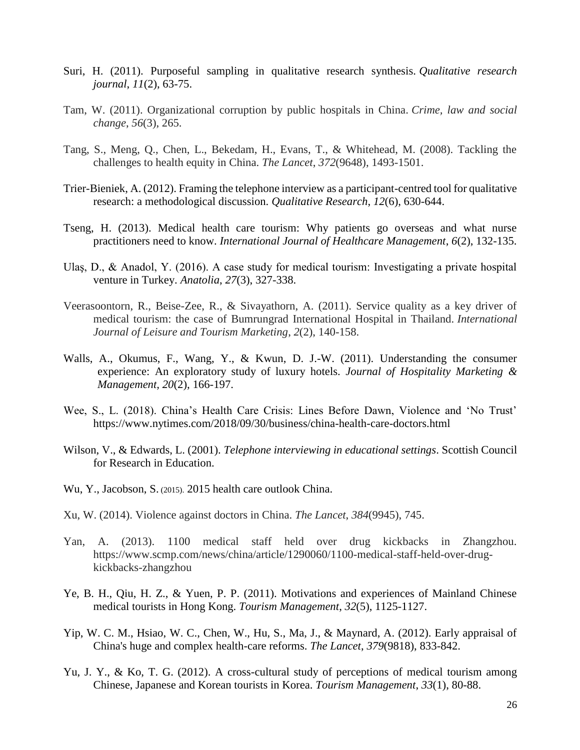- Suri, H. (2011). Purposeful sampling in qualitative research synthesis. *Qualitative research journal*, *11*(2), 63-75.
- Tam, W. (2011). Organizational corruption by public hospitals in China. *Crime, law and social change*, *56*(3), 265.
- Tang, S., Meng, Q., Chen, L., Bekedam, H., Evans, T., & Whitehead, M. (2008). Tackling the challenges to health equity in China. *The Lancet*, *372*(9648), 1493-1501.
- Trier-Bieniek, A. (2012). Framing the telephone interview as a participant-centred tool for qualitative research: a methodological discussion. *Qualitative Research*, *12*(6), 630-644.
- Tseng, H. (2013). Medical health care tourism: Why patients go overseas and what nurse practitioners need to know. *International Journal of Healthcare Management*, *6*(2), 132-135.
- Ulaş, D., & Anadol, Y. (2016). A case study for medical tourism: Investigating a private hospital venture in Turkey. *Anatolia*, *27*(3), 327-338.
- Veerasoontorn, R., Beise-Zee, R., & Sivayathorn, A. (2011). Service quality as a key driver of medical tourism: the case of Bumrungrad International Hospital in Thailand. *International Journal of Leisure and Tourism Marketing*, *2*(2), 140-158.
- Walls, A., Okumus, F., Wang, Y., & Kwun, D. J.-W. (2011). Understanding the consumer experience: An exploratory study of luxury hotels. *Journal of Hospitality Marketing & Management, 20*(2), 166-197.
- Wee, S., L. (2018). China's Health Care Crisis: Lines Before Dawn, Violence and 'No Trust' https://www.nytimes.com/2018/09/30/business/china-health-care-doctors.html
- Wilson, V., & Edwards, L. (2001). *Telephone interviewing in educational settings*. Scottish Council for Research in Education.
- Wu, Y., Jacobson, S. (2015). 2015 health care outlook China.
- Xu, W. (2014). Violence against doctors in China. *The Lancet*, *384*(9945), 745.
- Yan, A. (2013). 1100 medical staff held over drug kickbacks in Zhangzhou. https://www.scmp.com/news/china/article/1290060/1100-medical-staff-held-over-drugkickbacks-zhangzhou
- Ye, B. H., Qiu, H. Z., & Yuen, P. P. (2011). Motivations and experiences of Mainland Chinese medical tourists in Hong Kong. *Tourism Management*, *32*(5), 1125-1127.
- Yip, W. C. M., Hsiao, W. C., Chen, W., Hu, S., Ma, J., & Maynard, A. (2012). Early appraisal of China's huge and complex health-care reforms. *The Lancet*, *379*(9818), 833-842.
- Yu, J. Y., & Ko, T. G. (2012). A cross-cultural study of perceptions of medical tourism among Chinese, Japanese and Korean tourists in Korea. *Tourism Management*, *33*(1), 80-88.